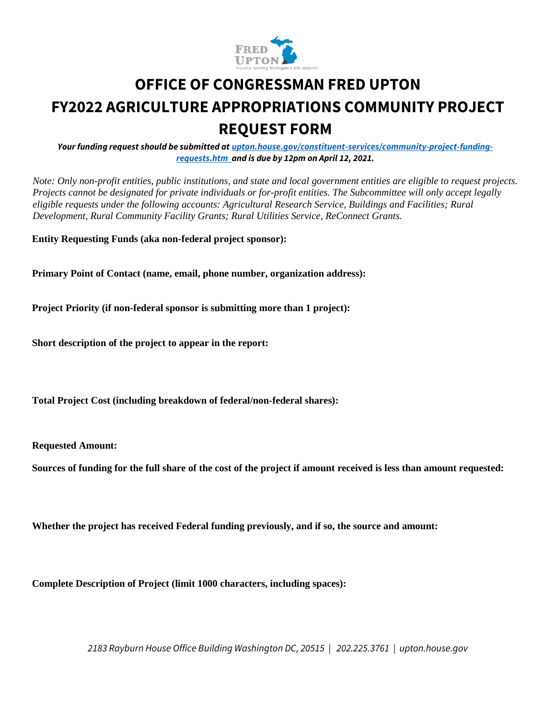

# **OFFICE OF CONGRESSMAN FRED UPTON FY2022 AGRICULTURE APPROPRIATIONS COMMUNITY PROJECT REQUEST FORM**

*Your funding request should be submitted at upton.house.gov/constituent-services/community-project-fundingrequests.htm and is due by 12pm on April 12, 2021.*

*Note: Only non-profit entities, public institutions, and state and local government entities are eligible to request projects. Projects cannot be designated for private individuals or for-profit entities. The Subcommittee will only accept legally eligible requests under the following accounts: Agricultural Research Service, Buildings and Facilities; Rural Development, Rural Community Facility Grants; Rural Utilities Service, ReConnect Grants.* 

**Entity Requesting Funds (aka non-federal project sponsor):** 

**Primary Point of Contact (name, email, phone number, organization address):** 

**Project Priority (if non-federal sponsor is submitting more than 1 project):** 

**Short description of the project to appear in the report:** 

**Total Project Cost (including breakdown of federal/non-federal shares):** 

**Requested Amount:** 

**Sources of funding for the full share of the cost of the project if amount received is less than amount requested:** 

**Whether the project has received Federal funding previously, and if so, the source and amount:** 

**Complete Description of Project (limit 1000 characters, including spaces):** 

*2183 Rayburn House Office Building Washington DC, 20515 | 202.225.3761 | upton.house.gov*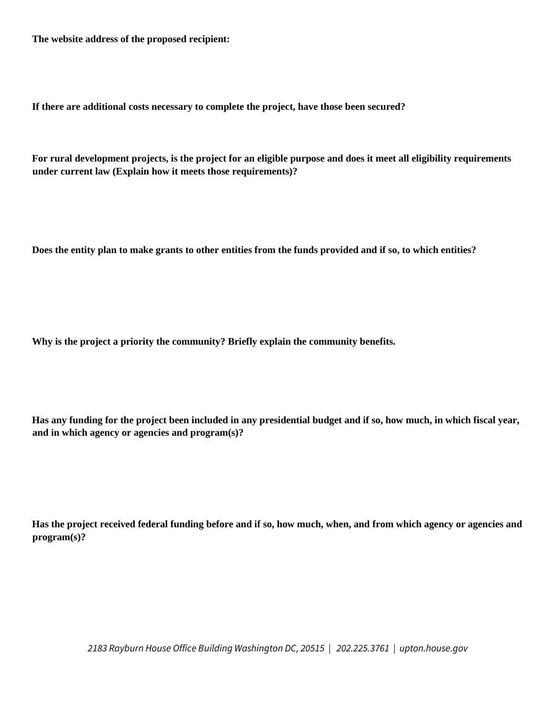**The website address of the proposed recipient:** 

**If there are additional costs necessary to complete the project, have those been secured?** 

**For rural development projects, is the project for an eligible purpose and does it meet all eligibility requirements under current law (Explain how it meets those requirements)?** 

**Does the entity plan to make grants to other entities from the funds provided and if so, to which entities?** 

**Why is the project a priority the community? Briefly explain the community benefits.** 

**Has any funding for the project been included in any presidential budget and if so, how much, in which fiscal year, and in which agency or agencies and program(s)?** 

**Has the project received federal funding before and if so, how much, when, and from which agency or agencies and program(s)?** 

*2183 Rayburn House Office Building Washington DC, 20515 | 202.225.3761 | upton.house.gov*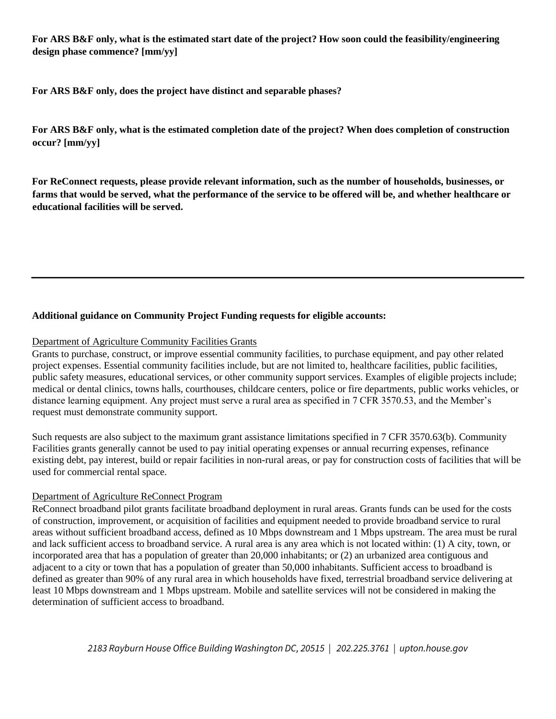**For ARS B&F only, what is the estimated start date of the project? How soon could the feasibility/engineering design phase commence? [mm/yy]** 

**For ARS B&F only, does the project have distinct and separable phases?** 

**For ARS B&F only, what is the estimated completion date of the project? When does completion of construction occur? [mm/yy]** 

**For ReConnect requests, please provide relevant information, such as the number of households, businesses, or farms that would be served, what the performance of the service to be offered will be, and whether healthcare or educational facilities will be served.** 

### **Additional guidance on Community Project Funding requests for eligible accounts:**

#### Department of Agriculture Community Facilities Grants

Grants to purchase, construct, or improve essential community facilities, to purchase equipment, and pay other related project expenses. Essential community facilities include, but are not limited to, healthcare facilities, public facilities, public safety measures, educational services, or other community support services. Examples of eligible projects include; medical or dental clinics, towns halls, courthouses, childcare centers, police or fire departments, public works vehicles, or distance learning equipment. Any project must serve a rural area as specified in 7 CFR 3570.53, and the Member's request must demonstrate community support.

Such requests are also subject to the maximum grant assistance limitations specified in 7 CFR 3570.63(b). Community Facilities grants generally cannot be used to pay initial operating expenses or annual recurring expenses, refinance existing debt, pay interest, build or repair facilities in non-rural areas, or pay for construction costs of facilities that will be used for commercial rental space.

#### Department of Agriculture ReConnect Program

ReConnect broadband pilot grants facilitate broadband deployment in rural areas. Grants funds can be used for the costs of construction, improvement, or acquisition of facilities and equipment needed to provide broadband service to rural areas without sufficient broadband access, defined as 10 Mbps downstream and 1 Mbps upstream. The area must be rural and lack sufficient access to broadband service. A rural area is any area which is not located within: (1) A city, town, or incorporated area that has a population of greater than 20,000 inhabitants; or (2) an urbanized area contiguous and adjacent to a city or town that has a population of greater than 50,000 inhabitants. Sufficient access to broadband is defined as greater than 90% of any rural area in which households have fixed, terrestrial broadband service delivering at least 10 Mbps downstream and 1 Mbps upstream. Mobile and satellite services will not be considered in making the determination of sufficient access to broadband.